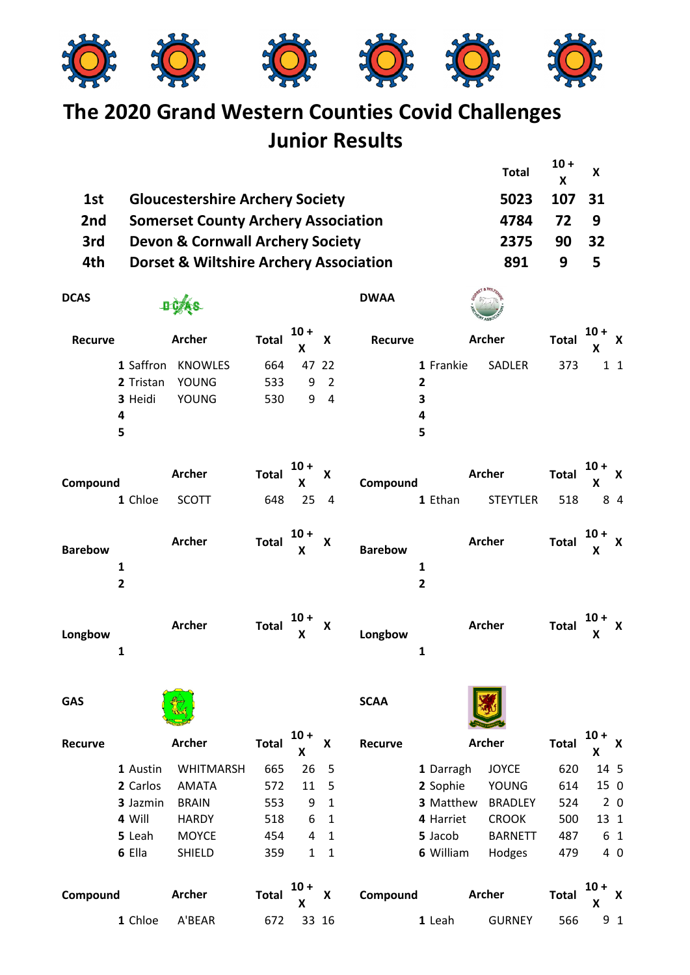

## **The 2020 Grand Western Counties Covid Challenges Junior Results**

|                |                                                   |                  |              |             |                         |                |                | <b>Total</b>    | $10+$<br>X   | X           |                |
|----------------|---------------------------------------------------|------------------|--------------|-------------|-------------------------|----------------|----------------|-----------------|--------------|-------------|----------------|
| 1st            | <b>Gloucestershire Archery Society</b>            |                  |              |             |                         |                |                | 5023            | 107          | 31          |                |
| 2nd            | <b>Somerset County Archery Association</b>        |                  |              |             |                         |                |                | 4784            | 72           | 9           |                |
| 3rd            | <b>Devon &amp; Cornwall Archery Society</b>       |                  |              |             |                         |                |                | 2375            | 90           | 32          |                |
| 4th            | <b>Dorset &amp; Wiltshire Archery Association</b> |                  |              |             |                         |                | 891            | 9               | 5            |             |                |
| <b>DCAS</b>    | <b>DCAS</b>                                       |                  |              |             | <b>DWAA</b>             |                |                |                 |              |             |                |
| <b>Recurve</b> |                                                   | <b>Archer</b>    | <b>Total</b> | $10 +$<br>X | X                       | Recurve        |                | <b>Archer</b>   | <b>Total</b> | $10 +$<br>X | X              |
|                | 1 Saffron                                         | <b>KNOWLES</b>   | 664          | 47 22       |                         |                | 1 Frankie      | SADLER          | 373          |             | $1\quad1$      |
|                | 2 Tristan                                         | <b>YOUNG</b>     | 533          | 9           | $\overline{2}$          |                | $\overline{2}$ |                 |              |             |                |
|                | 3 Heidi                                           | <b>YOUNG</b>     | 530          | 9           | $\overline{4}$          |                | 3              |                 |              |             |                |
|                | 4                                                 |                  |              |             |                         |                | 4              |                 |              |             |                |
|                | 5                                                 |                  |              |             |                         |                | 5              |                 |              |             |                |
| Compound       |                                                   | <b>Archer</b>    | <b>Total</b> | $10 +$<br>X | X                       | Compound       |                | <b>Archer</b>   | <b>Total</b> | $10 +$<br>X | X              |
|                | 1 Chloe                                           | <b>SCOTT</b>     | 648          | 25          | $\overline{4}$          |                | 1 Ethan        | <b>STEYTLER</b> | 518          |             | 8 4            |
| <b>Barebow</b> | $\mathbf{1}$                                      | <b>Archer</b>    | <b>Total</b> | $10 +$<br>X | X                       | <b>Barebow</b> | $\mathbf{1}$   | <b>Archer</b>   | <b>Total</b> | $10 +$<br>X | X              |
|                | $\mathbf{2}$                                      |                  |              |             |                         |                | $\mathbf{2}$   |                 |              |             |                |
| Longbow        | 1                                                 | <b>Archer</b>    | <b>Total</b> | $10 +$<br>X | X                       | Longbow        | $\mathbf 1$    | <b>Archer</b>   | <b>Total</b> | $10 +$<br>X | x              |
| <b>GAS</b>     |                                                   |                  |              |             |                         | <b>SCAA</b>    |                |                 |              |             |                |
| Recurve        |                                                   | <b>Archer</b>    | <b>Total</b> | $10 +$<br>X | X                       | Recurve        |                | <b>Archer</b>   | <b>Total</b> | $10 +$<br>X | X              |
|                | 1 Austin                                          | <b>WHITMARSH</b> | 665          | 26          | $\overline{\mathbf{5}}$ |                | 1 Darragh      | <b>JOYCE</b>    | 620          | 14 5        |                |
|                | 2 Carlos                                          | AMATA            | 572          | 11          | 5                       |                | 2 Sophie       | YOUNG           | 614          | 15 0        |                |
|                | 3 Jazmin                                          | <b>BRAIN</b>     | 553          | 9           | $\mathbf{1}$            |                | 3 Matthew      | <b>BRADLEY</b>  | 524          |             | 2 <sub>0</sub> |

**6** Ella SHIELD 359 1 1 **6** William Hodges 479 4 0 **Compound Total 10 + Archer ArcherX X Compound Archer Total X**  $10 + x$ **1** Chloe A'BEAR 672 33 16 **1** Leah GURNEY 566 9 1

**4** Will HARDY 518 6 1 **4** Harriet CROOK 500 13 1 **5** Leah MOYCE 454 4 1 **5** Jacob BARNETT 487 6 1